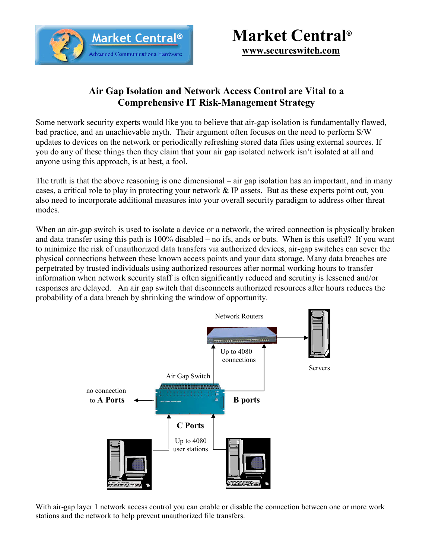

## **Market Central®**

**www.secureswitch.com**

## **Air Gap Isolation and Network Access Control are Vital to a Comprehensive IT Risk-Management Strategy**

Some network security experts would like you to believe that air-gap isolation is fundamentally flawed, bad practice, and an unachievable myth. Their argument often focuses on the need to perform S/W updates to devices on the network or periodically refreshing stored data files using external sources. If you do any of these things then they claim that your air gap isolated network isn't isolated at all and anyone using this approach, is at best, a fool.

The truth is that the above reasoning is one dimensional – air gap isolation has an important, and in many cases, a critical role to play in protecting your network & IP assets. But as these experts point out, you also need to incorporate additional measures into your overall security paradigm to address other threat modes.

When an air-gap switch is used to isolate a device or a network, the wired connection is physically broken and data transfer using this path is 100% disabled – no ifs, ands or buts. When is this useful? If you want to minimize the risk of unauthorized data transfers via authorized devices, air-gap switches can sever the physical connections between these known access points and your data storage. Many data breaches are perpetrated by trusted individuals using authorized resources after normal working hours to transfer information when network security staff is often significantly reduced and scrutiny is lessened and/or responses are delayed. An air gap switch that disconnects authorized resources after hours reduces the probability of a data breach by shrinking the window of opportunity.



With air-gap layer 1 network access control you can enable or disable the connection between one or more work stations and the network to help prevent unauthorized file transfers.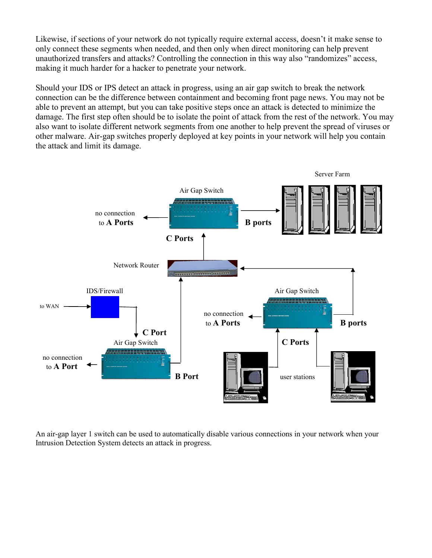Likewise, if sections of your network do not typically require external access, doesn't it make sense to only connect these segments when needed, and then only when direct monitoring can help prevent unauthorized transfers and attacks? Controlling the connection in this way also "randomizes" access, making it much harder for a hacker to penetrate your network.

Should your IDS or IPS detect an attack in progress, using an air gap switch to break the network connection can be the difference between containment and becoming front page news. You may not be able to prevent an attempt, but you can take positive steps once an attack is detected to minimize the damage. The first step often should be to isolate the point of attack from the rest of the network. You may also want to isolate different network segments from one another to help prevent the spread of viruses or other malware. Air-gap switches properly deployed at key points in your network will help you contain the attack and limit its damage.



An air-gap layer 1 switch can be used to automatically disable various connections in your network when your Intrusion Detection System detects an attack in progress.